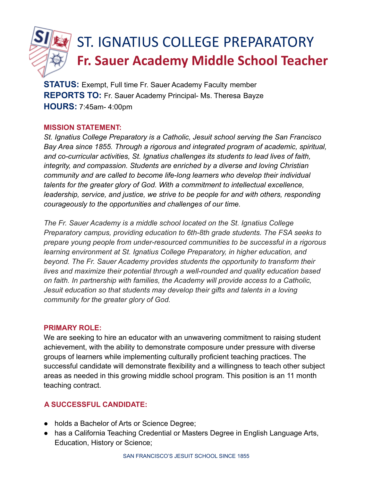

**STATUS:** Exempt, Full time Fr. Sauer Academy Faculty member **REPORTS TO:** Fr. Sauer Academy Principal- Ms. Theresa Bayze **HOURS:** 7:45am- 4:00pm

## **MISSION STATEMENT:**

*St. Ignatius College Preparatory is a Catholic, Jesuit school serving the San Francisco Bay Area since 1855. Through a rigorous and integrated program of academic, spiritual, and co-curricular activities, St. Ignatius challenges its students to lead lives of faith, integrity, and compassion. Students are enriched by a diverse and loving Christian community and are called to become life-long learners who develop their individual talents for the greater glory of God. With a commitment to intellectual excellence, leadership, service, and justice, we strive to be people for and with others, responding courageously to the opportunities and challenges of our time.*

*The Fr. Sauer Academy is a middle school located on the St. Ignatius College Preparatory campus, providing education to 6th-8th grade students. The FSA seeks to prepare young people from under-resourced communities to be successful in a rigorous learning environment at St. Ignatius College Preparatory, in higher education, and beyond. The Fr. Sauer Academy provides students the opportunity to transform their lives and maximize their potential through a well-rounded and quality education based on faith. In partnership with families, the Academy will provide access to a Catholic, Jesuit education so that students may develop their gifts and talents in a loving community for the greater glory of God.*

### **PRIMARY ROLE:**

We are seeking to hire an educator with an unwavering commitment to raising student achievement, with the ability to demonstrate composure under pressure with diverse groups of learners while implementing culturally proficient teaching practices. The successful candidate will demonstrate flexibility and a willingness to teach other subject areas as needed in this growing middle school program. This position is an 11 month teaching contract.

### **A SUCCESSFUL CANDIDATE:**

- holds a Bachelor of Arts or Science Degree;
- has a California Teaching Credential or Masters Degree in English Language Arts, Education, History or Science;